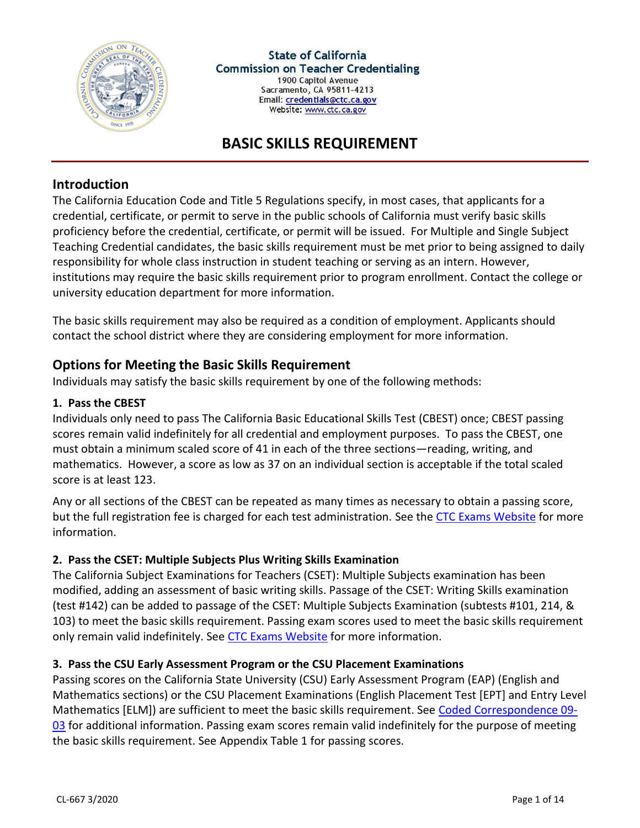

# **BASIC SKILLS REQUIREMENT**

### **Introduction**

The California Education Code and Title 5 Regulations specify, in most cases, that applicants for a credential, certificate, or permit to serve in the public schools of California must verify basic skills proficiency before the credential, certificate, or permit will be issued. For Multiple and Single Subject Teaching Credential candidates, the basic skills requirement must be met prior to being assigned to daily responsibility for whole class instruction in student teaching or serving as an intern. However, institutions may require the basic skills requirement prior to program enrollment. Contact the college or university education department for more information.

The basic skills requirement may also be required as a condition of employment. Applicants should contact the school district where they are considering employment for more information.

## **Options for Meeting the Basic Skills Requirement**

Individuals may satisfy the basic skills requirement by one of the following methods:

#### **1. Pass the CBEST**

Individuals only need to pass The California Basic Educational Skills Test (CBEST) once; CBEST passing scores remain valid indefinitely for all credential and employment purposes. To pass the CBEST, one must obtain a minimum scaled score of 41 in each of the three sections—reading, writing, and mathematics. However, a score as low as 37 on an individual section is acceptable if the total scaled score is at least 123.

Any or all sections of the CBEST can be repeated as many times as necessary to obtain a passing score, but the full registration fee is charged for each test administration. See the [CTC Exams Website](http://www.ctcexams.nesinc.com/) for more information.

### **2. Pass the CSET: Multiple Subjects Plus Writing Skills Examination**

The California Subject Examinations for Teachers (CSET): Multiple Subjects examination has been modified, adding an assessment of basic writing skills. Passage of the CSET: Writing Skills examination (test #142) can be added to passage of the CSET: Multiple Subjects Examination (subtests #101, 214, & 103) to meet the basic skills requirement. Passing exam scores used to meet the basic skills requirement only remain valid indefinitely. See [CTC Exams Website](http://www.ctcexams.nesinc.com/) for more information.

#### **3. Pass the CSU Early Assessment Program or the CSU Placement Examinations**

Passing scores on the California State University (CSU) Early Assessment Program (EAP) (English and Mathematics sections) or the CSU Placement Examinations (English Placement Test [EPT] and Entry Level Mathematics [ELM]) are sufficient to meet the basic skills requirement. See [Coded Correspondence 09-](http://www.ctc.ca.gov/notices/coded/2009/0903.pdf) [03](http://www.ctc.ca.gov/notices/coded/2009/0903.pdf) for additional information. Passing exam scores remain valid indefinitely for the purpose of meeting the basic skills requirement. See Appendix Table 1 for passing scores.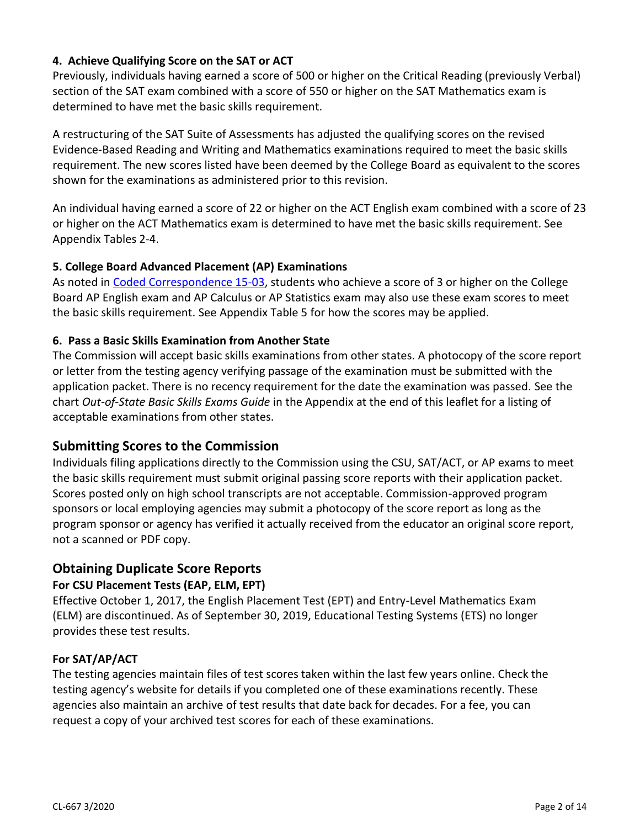### **4. Achieve Qualifying Score on the SAT or ACT**

Previously, individuals having earned a score of 500 or higher on the Critical Reading (previously Verbal) section of the SAT exam combined with a score of 550 or higher on the SAT Mathematics exam is determined to have met the basic skills requirement.

A restructuring of the SAT Suite of Assessments has adjusted the qualifying scores on the revised Evidence-Based Reading and Writing and Mathematics examinations required to meet the basic skills requirement. The new scores listed have been deemed by the College Board as equivalent to the scores shown for the examinations as administered prior to this revision.

An individual having earned a score of 22 or higher on the ACT English exam combined with a score of 23 or higher on the ACT Mathematics exam is determined to have met the basic skills requirement. See Appendix Tables 2-4.

### **5. College Board Advanced Placement (AP) Examinations**

As noted in [Coded Correspondence 15-03,](http://www.ctc.ca.gov/notices/coded/2015/1503.pdf) students who achieve a score of 3 or higher on the College Board AP English exam and AP Calculus or AP Statistics exam may also use these exam scores to meet the basic skills requirement. See Appendix Table 5 for how the scores may be applied.

#### **6. Pass a Basic Skills Examination from Another State**

The Commission will accept basic skills examinations from other states. A photocopy of the score report or letter from the testing agency verifying passage of the examination must be submitted with the application packet. There is no recency requirement for the date the examination was passed. See the chart *Out-of-State Basic Skills Exams Guide* in the Appendix at the end of this leaflet for a listing of acceptable examinations from other states.

### **Submitting Scores to the Commission**

Individuals filing applications directly to the Commission using the CSU, SAT/ACT, or AP exams to meet the basic skills requirement must submit original passing score reports with their application packet. Scores posted only on high school transcripts are not acceptable. Commission-approved program sponsors or local employing agencies may submit a photocopy of the score report as long as the program sponsor or agency has verified it actually received from the educator an original score report, not a scanned or PDF copy.

## **Obtaining Duplicate Score Reports**

### **For CSU Placement Tests (EAP, ELM, EPT)**

Effective October 1, 2017, the English Placement Test (EPT) and Entry-Level Mathematics Exam (ELM) are discontinued. As of September 30, 2019, Educational Testing Systems (ETS) no longer provides these test results.

#### **For SAT/AP/ACT**

The testing agencies maintain files of test scores taken within the last few years online. Check the testing agency's website for details if you completed one of these examinations recently. These agencies also maintain an archive of test results that date back for decades. For a fee, you can request a copy of your archived test scores for each of these examinations.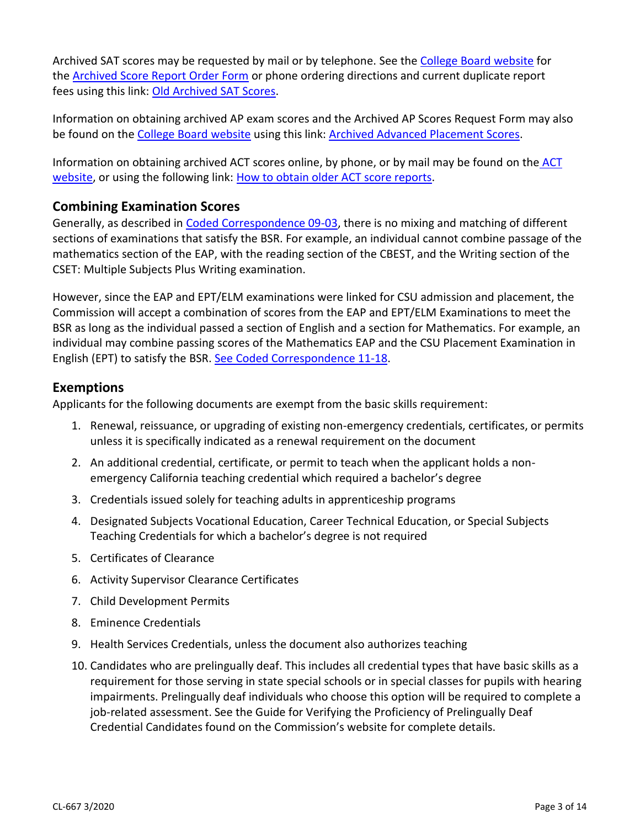Archived SAT scores may be requested by mail or by telephone. See the [College Board website](https://sat.collegeboard.org/scores/send-old-sat-scores) for the [Archived Score Report Order Form](https://sat.collegeboard.org/scores/send-old-sat-scores) or phone ordering directions and current duplicate report fees using this link: [Old Archived SAT Scores.](https://sat.collegeboard.org/scores/send-old-sat-scores)

Information on obtaining archived AP exam scores and the Archived AP Scores Request Form may also be found on the [College Board website](https://apstudent.collegeboard.org/help#faq56) using this link: [Archived Advanced Placement Scores.](https://apstudent.collegeboard.org/help#faq56)

Information on obtaining archived ACT scores online, by phone, or by mail may be found on the [ACT](https://www.act.org/content/act/en/products-and-services/the-act/scores/sending-your-scores.html)  [website,](https://www.act.org/content/act/en/products-and-services/the-act/scores/sending-your-scores.html) or using the following link: [How to obtain older ACT score reports.](http://testprep.about.com/od/actfaq/ht/Old_ACT_Scores.htm)

## **Combining Examination Scores**

Generally, as described in [Coded Correspondence 09-03,](http://www.ctc.ca.gov/notices/coded/2009/0903.pdf) there is no mixing and matching of different sections of examinations that satisfy the BSR. For example, an individual cannot combine passage of the mathematics section of the EAP, with the reading section of the CBEST, and the Writing section of the CSET: Multiple Subjects Plus Writing examination.

However, since the EAP and EPT/ELM examinations were linked for CSU admission and placement, the Commission will accept a combination of scores from the EAP and EPT/ELM Examinations to meet the BSR as long as the individual passed a section of English and a section for Mathematics. For example, an individual may combine passing scores of the Mathematics EAP and the CSU Placement Examination in English (EPT) to satisfy the BSR. [See Coded Correspondence 11-18.](http://www.ctc.ca.gov/notices/coded/2011/1118.pdf)

## **Exemptions**

Applicants for the following documents are exempt from the basic skills requirement:

- 1. Renewal, reissuance, or upgrading of existing non-emergency credentials, certificates, or permits unless it is specifically indicated as a renewal requirement on the document
- 2. An additional credential, certificate, or permit to teach when the applicant holds a nonemergency California teaching credential which required a bachelor's degree
- 3. Credentials issued solely for teaching adults in apprenticeship programs
- 4. Designated Subjects Vocational Education, Career Technical Education, or Special Subjects Teaching Credentials for which a bachelor's degree is not required
- 5. Certificates of Clearance
- 6. Activity Supervisor Clearance Certificates
- 7. Child Development Permits
- 8. Eminence Credentials
- 9. Health Services Credentials, unless the document also authorizes teaching
- 10. Candidates who are prelingually deaf. This includes all credential types that have basic skills as a requirement for those serving in state special schools or in special classes for pupils with hearing impairments. Prelingually deaf individuals who choose this option will be required to complete a job-related assessment. See the Guide for Verifying the Proficiency of Prelingually Deaf Credential Candidates found on the Commission's website for complete details.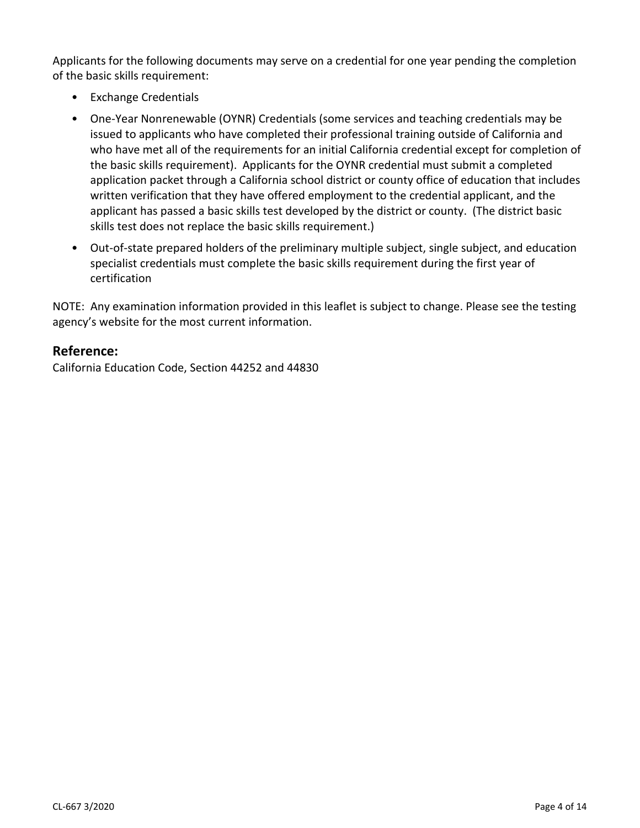Applicants for the following documents may serve on a credential for one year pending the completion of the basic skills requirement:

- Exchange Credentials
- One-Year Nonrenewable (OYNR) Credentials (some services and teaching credentials may be issued to applicants who have completed their professional training outside of California and who have met all of the requirements for an initial California credential except for completion of the basic skills requirement). Applicants for the OYNR credential must submit a completed application packet through a California school district or county office of education that includes written verification that they have offered employment to the credential applicant, and the applicant has passed a basic skills test developed by the district or county. (The district basic skills test does not replace the basic skills requirement.)
- Out-of-state prepared holders of the preliminary multiple subject, single subject, and education specialist credentials must complete the basic skills requirement during the first year of certification

NOTE: Any examination information provided in this leaflet is subject to change. Please see the testing agency's website for the most current information.

## **Reference:**

California Education Code, Section 44252 and 44830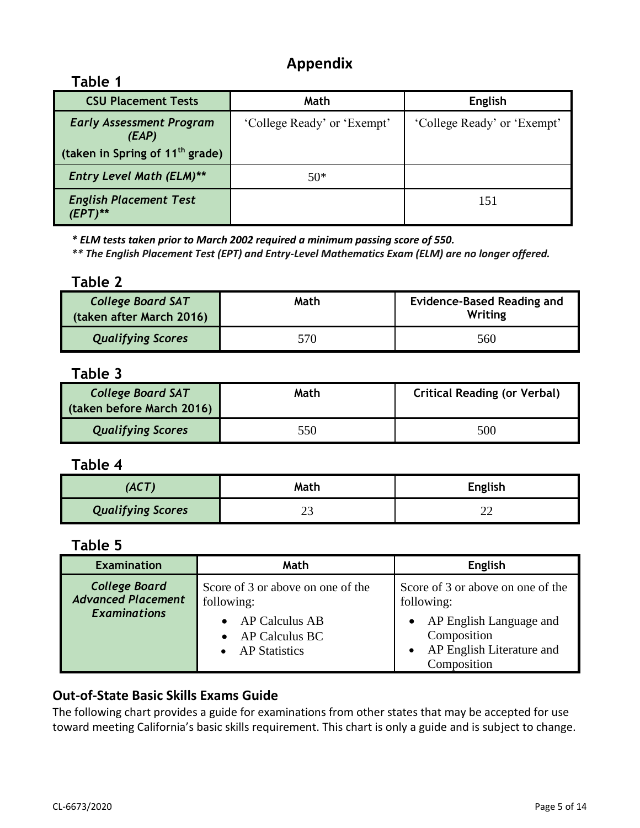# **Appendix**

## **Table 1**

| <b>CSU Placement Tests</b>                  | Math                        | English                     |
|---------------------------------------------|-----------------------------|-----------------------------|
| <b>Early Assessment Program</b><br>(EAP)    | 'College Ready' or 'Exempt' | 'College Ready' or 'Exempt' |
| (taken in Spring of 11 <sup>th</sup> grade) |                             |                             |
| <b>Entry Level Math (ELM)**</b>             | $50*$                       |                             |
| <b>English Placement Test</b>               |                             | 151                         |

*\* ELM tests taken prior to March 2002 required a minimum passing score of 550.*

*\*\* The English Placement Test (EPT) and Entry-Level Mathematics Exam (ELM) are no longer offered.*

### **Table 2**

| <b>College Board SAT</b><br>(taken after March 2016) | Math | <b>Evidence-Based Reading and</b><br>Writing |  |
|------------------------------------------------------|------|----------------------------------------------|--|
| <b>Qualifying Scores</b>                             | 570  | 560                                          |  |

# **Table 3**

| <b>College Board SAT</b><br>(taken before March 2016) | Math | <b>Critical Reading (or Verbal)</b> |
|-------------------------------------------------------|------|-------------------------------------|
| <b>Qualifying Scores</b>                              | 550  | 500                                 |

## **Table 4**

| (ACT)                    | Math | <b>English</b> |
|--------------------------|------|----------------|
| <b>Qualifying Scores</b> | ت    |                |

# **Table 5**

| <b>Examination</b>                                                       | Math                                                            | <b>English</b>                                                                                  |  |
|--------------------------------------------------------------------------|-----------------------------------------------------------------|-------------------------------------------------------------------------------------------------|--|
| <b>College Board</b><br><b>Advanced Placement</b><br><b>Examinations</b> | Score of 3 or above on one of the<br>following:                 | Score of 3 or above on one of the<br>following:                                                 |  |
|                                                                          | $\bullet$ AP Calculus AB<br>• AP Calculus BC<br>• AP Statistics | AP English Language and<br>Composition<br>AP English Literature and<br>$\bullet$<br>Composition |  |

## **Out-of-State Basic Skills Exams Guide**

The following chart provides a guide for examinations from other states that may be accepted for use toward meeting California's basic skills requirement. This chart is only a guide and is subject to change.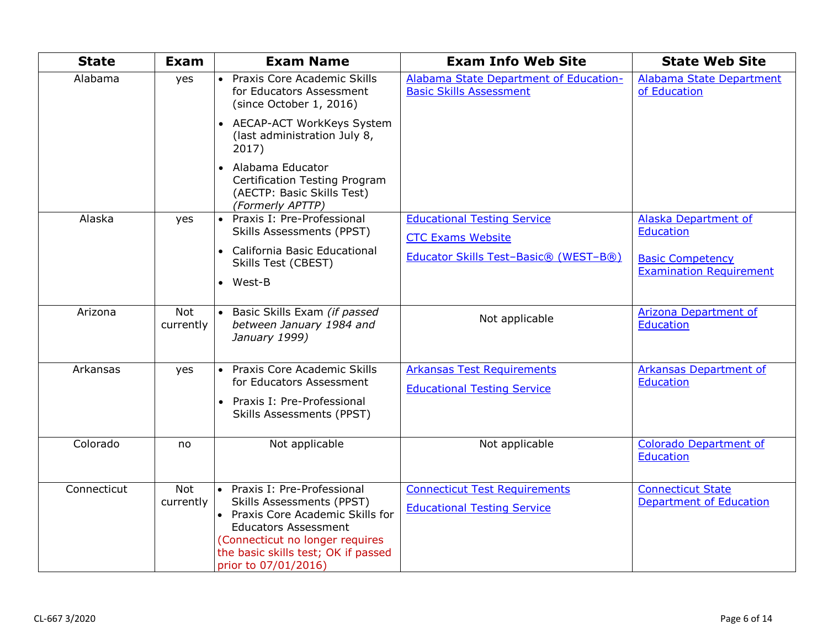| <b>State</b> | <b>Exam</b>             | <b>Exam Name</b>                                                                                                                                                                                                                       | <b>Exam Info Web Site</b>                                                  | <b>State Web Site</b>                                      |
|--------------|-------------------------|----------------------------------------------------------------------------------------------------------------------------------------------------------------------------------------------------------------------------------------|----------------------------------------------------------------------------|------------------------------------------------------------|
| Alabama      | yes                     | • Praxis Core Academic Skills<br>for Educators Assessment<br>(since October 1, 2016)                                                                                                                                                   | Alabama State Department of Education-<br><b>Basic Skills Assessment</b>   | Alabama State Department<br>of Education                   |
|              |                         | • AECAP-ACT WorkKeys System<br>(last administration July 8,<br>2017)                                                                                                                                                                   |                                                                            |                                                            |
|              |                         | • Alabama Educator<br>Certification Testing Program<br>(AECTP: Basic Skills Test)<br>(Formerly APTTP)                                                                                                                                  |                                                                            |                                                            |
| Alaska       | yes                     | • Praxis I: Pre-Professional<br>Skills Assessments (PPST)                                                                                                                                                                              | <b>Educational Testing Service</b><br><b>CTC Exams Website</b>             | Alaska Department of<br><b>Education</b>                   |
|              |                         | • California Basic Educational<br>Skills Test (CBEST)<br>$\bullet$ West-B                                                                                                                                                              | Educator Skills Test-Basic® (WEST-B®)                                      | <b>Basic Competency</b><br><b>Examination Requirement</b>  |
| Arizona      | Not<br>currently        | Basic Skills Exam (if passed<br>between January 1984 and<br>January 1999)                                                                                                                                                              | Not applicable                                                             | Arizona Department of<br>Education                         |
| Arkansas     | yes                     | Praxis Core Academic Skills<br>$\bullet$<br>for Educators Assessment                                                                                                                                                                   | <b>Arkansas Test Requirements</b>                                          | Arkansas Department of<br>Education                        |
|              |                         | Praxis I: Pre-Professional<br>$\bullet$<br>Skills Assessments (PPST)                                                                                                                                                                   | <b>Educational Testing Service</b>                                         |                                                            |
| Colorado     | no                      | Not applicable                                                                                                                                                                                                                         | Not applicable                                                             | <b>Colorado Department of</b><br>Education                 |
| Connecticut  | <b>Not</b><br>currently | • Praxis I: Pre-Professional<br><b>Skills Assessments (PPST)</b><br>• Praxis Core Academic Skills for<br><b>Educators Assessment</b><br>(Connecticut no longer requires<br>the basic skills test; OK if passed<br>prior to 07/01/2016) | <b>Connecticut Test Requirements</b><br><b>Educational Testing Service</b> | <b>Connecticut State</b><br><b>Department of Education</b> |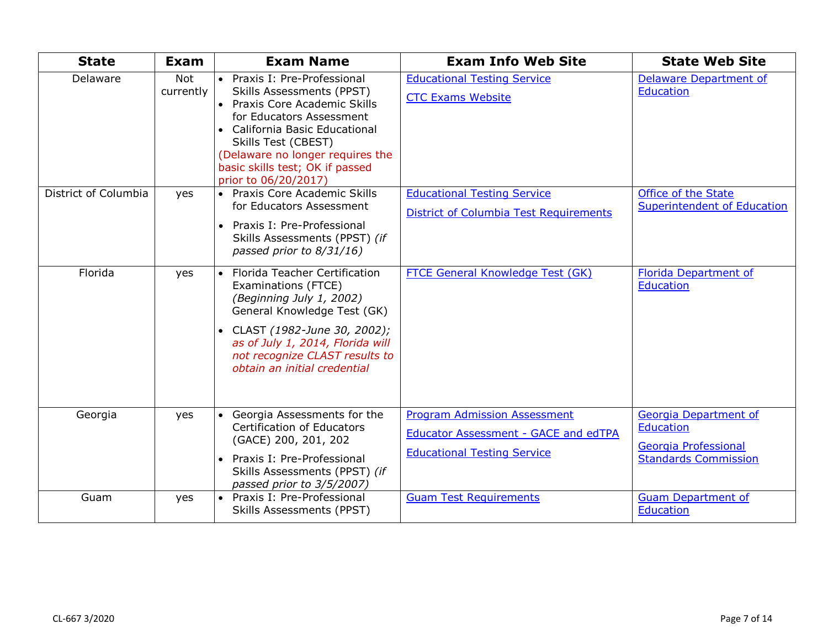| <b>State</b>         | Exam                    | <b>Exam Name</b>                                                                                                                                                                                                                                                               | <b>Exam Info Web Site</b>                                                                                         | <b>State Web Site</b>                                                                            |
|----------------------|-------------------------|--------------------------------------------------------------------------------------------------------------------------------------------------------------------------------------------------------------------------------------------------------------------------------|-------------------------------------------------------------------------------------------------------------------|--------------------------------------------------------------------------------------------------|
| Delaware             | <b>Not</b><br>currently | • Praxis I: Pre-Professional<br>Skills Assessments (PPST)<br>• Praxis Core Academic Skills<br>for Educators Assessment<br>• California Basic Educational<br>Skills Test (CBEST)<br>(Delaware no longer requires the<br>basic skills test; OK if passed<br>prior to 06/20/2017) | <b>Educational Testing Service</b><br><b>CTC Exams Website</b>                                                    | <b>Delaware Department of</b><br><b>Education</b>                                                |
| District of Columbia | yes                     | • Praxis Core Academic Skills<br>for Educators Assessment<br>• Praxis I: Pre-Professional<br>Skills Assessments (PPST) (if<br>passed prior to 8/31/16)                                                                                                                         | <b>Educational Testing Service</b><br><b>District of Columbia Test Requirements</b>                               | Office of the State<br>Superintendent of Education                                               |
| Florida              | yes                     | • Florida Teacher Certification<br>Examinations (FTCE)<br>(Beginning July 1, 2002)<br>General Knowledge Test (GK)<br>• CLAST (1982-June 30, 2002);<br>as of July 1, 2014, Florida will<br>not recognize CLAST results to<br>obtain an initial credential                       | FTCE General Knowledge Test (GK)                                                                                  | <b>Florida Department of</b><br><b>Education</b>                                                 |
| Georgia              | yes                     | • Georgia Assessments for the<br><b>Certification of Educators</b><br>(GACE) 200, 201, 202<br>• Praxis I: Pre-Professional<br>Skills Assessments (PPST) (if<br>passed prior to 3/5/2007)                                                                                       | <b>Program Admission Assessment</b><br>Educator Assessment - GACE and edTPA<br><b>Educational Testing Service</b> | Georgia Department of<br><b>Education</b><br>Georgia Professional<br><b>Standards Commission</b> |
| Guam                 | yes                     | • Praxis I: Pre-Professional<br><b>Skills Assessments (PPST)</b>                                                                                                                                                                                                               | <b>Guam Test Requirements</b>                                                                                     | <b>Guam Department of</b><br><b>Education</b>                                                    |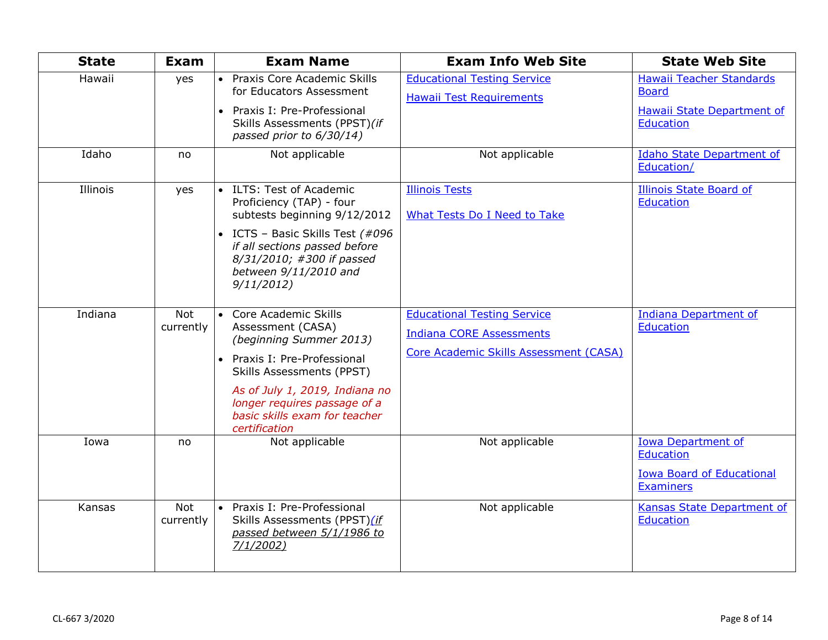| <b>State</b> | <b>Exam</b>             | <b>Exam Name</b>                                                                                                                                                                                                                                               | <b>Exam Info Web Site</b>                                                                                       | <b>State Web Site</b>                                                                                 |
|--------------|-------------------------|----------------------------------------------------------------------------------------------------------------------------------------------------------------------------------------------------------------------------------------------------------------|-----------------------------------------------------------------------------------------------------------------|-------------------------------------------------------------------------------------------------------|
| Hawaii       | yes                     | • Praxis Core Academic Skills<br>for Educators Assessment<br>Praxis I: Pre-Professional<br>Skills Assessments (PPST)(if<br>passed prior to 6/30/14)                                                                                                            | <b>Educational Testing Service</b><br><b>Hawaii Test Requirements</b>                                           | Hawaii Teacher Standards<br><b>Board</b><br>Hawaii State Department of<br><b>Education</b>            |
| Idaho        | no                      | Not applicable                                                                                                                                                                                                                                                 | Not applicable                                                                                                  | <b>Idaho State Department of</b><br>Education/                                                        |
| Illinois     | yes                     | ILTS: Test of Academic<br>Proficiency (TAP) - four<br>subtests beginning 9/12/2012<br>• ICTS - Basic Skills Test (#096<br>if all sections passed before<br>8/31/2010; #300 if passed<br>between 9/11/2010 and<br>9/11/2012                                     | <b>Illinois Tests</b><br><b>What Tests Do I Need to Take</b>                                                    | <b>Illinois State Board of</b><br><b>Education</b>                                                    |
| Indiana      | <b>Not</b><br>currently | • Core Academic Skills<br>Assessment (CASA)<br>(beginning Summer 2013)<br>• Praxis I: Pre-Professional<br><b>Skills Assessments (PPST)</b><br>As of July 1, 2019, Indiana no<br>longer requires passage of a<br>basic skills exam for teacher<br>certification | <b>Educational Testing Service</b><br><b>Indiana CORE Assessments</b><br>Core Academic Skills Assessment (CASA) | <b>Indiana Department of</b><br><b>Education</b>                                                      |
| Iowa         | no                      | Not applicable                                                                                                                                                                                                                                                 | Not applicable                                                                                                  | <b>Iowa Department of</b><br><b>Education</b><br><b>Iowa Board of Educational</b><br><b>Examiners</b> |
| Kansas       | <b>Not</b><br>currently | • Praxis I: Pre-Professional<br>Skills Assessments (PPST)(if<br>passed between 5/1/1986 to<br>7/1/2002                                                                                                                                                         | Not applicable                                                                                                  | Kansas State Department of<br><b>Education</b>                                                        |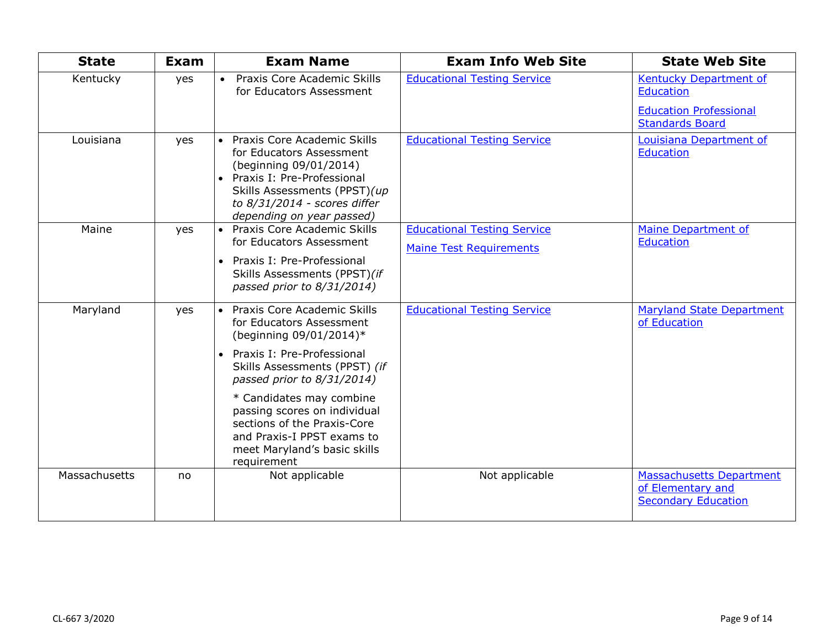| <b>State</b>  | Exam | <b>Exam Name</b>                                                                                                                                                                                                                                                                                                                                                       | <b>Exam Info Web Site</b>                                            | <b>State Web Site</b>                                                                          |
|---------------|------|------------------------------------------------------------------------------------------------------------------------------------------------------------------------------------------------------------------------------------------------------------------------------------------------------------------------------------------------------------------------|----------------------------------------------------------------------|------------------------------------------------------------------------------------------------|
| Kentucky      | yes  | Praxis Core Academic Skills<br>$\bullet$<br>for Educators Assessment                                                                                                                                                                                                                                                                                                   | <b>Educational Testing Service</b>                                   | Kentucky Department of<br>Education<br><b>Education Professional</b><br><b>Standards Board</b> |
| Louisiana     | yes  | Praxis Core Academic Skills<br>$\bullet$<br>for Educators Assessment<br>(beginning 09/01/2014)<br>• Praxis I: Pre-Professional<br>Skills Assessments (PPST)(up<br>to 8/31/2014 - scores differ<br>depending on year passed)                                                                                                                                            | <b>Educational Testing Service</b>                                   | Louisiana Department of<br><b>Education</b>                                                    |
| Maine         | yes  | • Praxis Core Academic Skills<br>for Educators Assessment<br>Praxis I: Pre-Professional<br>Skills Assessments (PPST)(if<br>passed prior to 8/31/2014)                                                                                                                                                                                                                  | <b>Educational Testing Service</b><br><b>Maine Test Requirements</b> | <b>Maine Department of</b><br><b>Education</b>                                                 |
| Maryland      | yes  | • Praxis Core Academic Skills<br>for Educators Assessment<br>(beginning 09/01/2014)*<br>Praxis I: Pre-Professional<br>$\bullet$<br>Skills Assessments (PPST) (if<br>passed prior to 8/31/2014)<br>* Candidates may combine<br>passing scores on individual<br>sections of the Praxis-Core<br>and Praxis-I PPST exams to<br>meet Maryland's basic skills<br>requirement | <b>Educational Testing Service</b>                                   | <b>Maryland State Department</b><br>of Education                                               |
| Massachusetts | no   | Not applicable                                                                                                                                                                                                                                                                                                                                                         | Not applicable                                                       | <b>Massachusetts Department</b><br>of Elementary and<br><b>Secondary Education</b>             |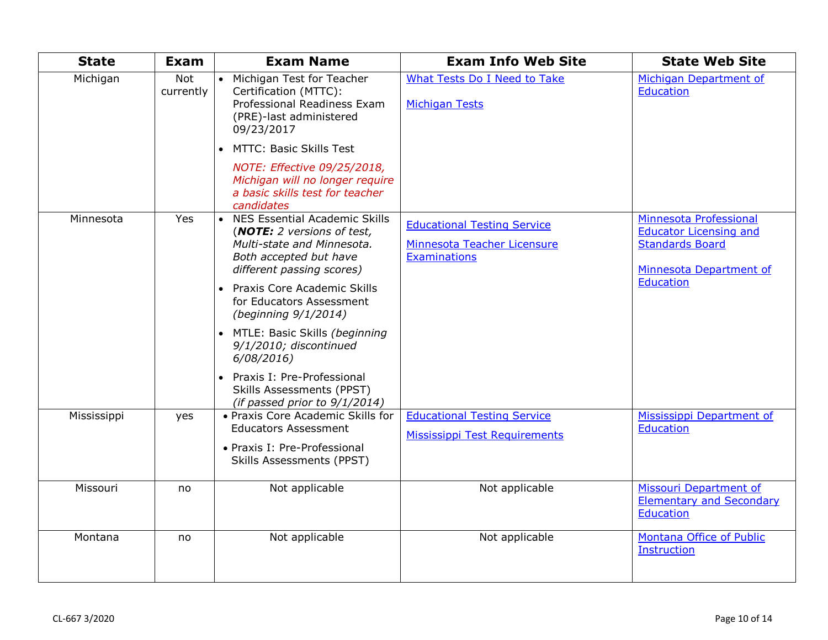| <b>State</b> | <b>Exam</b>      | <b>Exam Name</b>                                                                                                                             | <b>Exam Info Web Site</b>                                                  | <b>State Web Site</b>                                                             |
|--------------|------------------|----------------------------------------------------------------------------------------------------------------------------------------------|----------------------------------------------------------------------------|-----------------------------------------------------------------------------------|
| Michigan     | Not<br>currently | Michigan Test for Teacher<br>$\bullet$<br>Certification (MTTC):<br>Professional Readiness Exam<br>(PRE)-last administered<br>09/23/2017      | What Tests Do I Need to Take<br><b>Michigan Tests</b>                      | Michigan Department of<br><b>Education</b>                                        |
|              |                  | MTTC: Basic Skills Test<br>NOTE: Effective 09/25/2018,<br>Michigan will no longer require                                                    |                                                                            |                                                                                   |
| Minnesota    | Yes              | a basic skills test for teacher<br>candidates<br>• NES Essential Academic Skills<br>(NOTE: 2 versions of test,<br>Multi-state and Minnesota. | <b>Educational Testing Service</b><br>Minnesota Teacher Licensure          | Minnesota Professional<br><b>Educator Licensing and</b><br><b>Standards Board</b> |
|              |                  | Both accepted but have<br>different passing scores)<br>Praxis Core Academic Skills<br>for Educators Assessment<br>(beginning 9/1/2014)       | <b>Examinations</b>                                                        | Minnesota Department of<br>Education                                              |
|              |                  | MTLE: Basic Skills (beginning<br>9/1/2010; discontinued<br>6/08/2016<br>Praxis I: Pre-Professional                                           |                                                                            |                                                                                   |
|              |                  | <b>Skills Assessments (PPST)</b><br>(if passed prior to 9/1/2014)                                                                            |                                                                            |                                                                                   |
| Mississippi  | yes              | • Praxis Core Academic Skills for<br><b>Educators Assessment</b><br>• Praxis I: Pre-Professional<br>Skills Assessments (PPST)                | <b>Educational Testing Service</b><br><b>Mississippi Test Requirements</b> | Mississippi Department of<br><b>Education</b>                                     |
| Missouri     | no               | Not applicable                                                                                                                               | Not applicable                                                             | Missouri Department of<br><b>Elementary and Secondary</b><br><b>Education</b>     |
| Montana      | no               | Not applicable                                                                                                                               | Not applicable                                                             | Montana Office of Public<br><b>Instruction</b>                                    |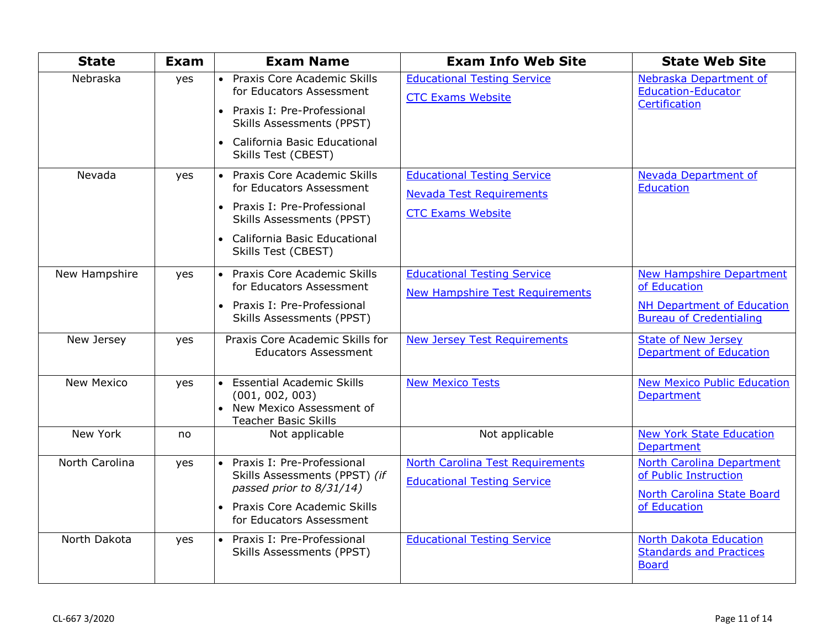| <b>State</b>      | Exam | <b>Exam Name</b>                                                                                                                                                  | <b>Exam Info Web Site</b>                                                    | <b>State Web Site</b>                                                                                   |
|-------------------|------|-------------------------------------------------------------------------------------------------------------------------------------------------------------------|------------------------------------------------------------------------------|---------------------------------------------------------------------------------------------------------|
| Nebraska          | yes  | • Praxis Core Academic Skills<br>for Educators Assessment<br>• Praxis I: Pre-Professional<br><b>Skills Assessments (PPST)</b>                                     | <b>Educational Testing Service</b><br><b>CTC Exams Website</b>               | Nebraska Department of<br><b>Education-Educator</b><br>Certification                                    |
|                   |      | • California Basic Educational<br>Skills Test (CBEST)                                                                                                             |                                                                              |                                                                                                         |
| Nevada            | yes  | • Praxis Core Academic Skills<br>for Educators Assessment                                                                                                         | <b>Educational Testing Service</b><br><b>Nevada Test Requirements</b>        | <b>Nevada Department of</b><br><b>Education</b>                                                         |
|                   |      | • Praxis I: Pre-Professional<br><b>Skills Assessments (PPST)</b>                                                                                                  | <b>CTC Exams Website</b>                                                     |                                                                                                         |
|                   |      | • California Basic Educational<br>Skills Test (CBEST)                                                                                                             |                                                                              |                                                                                                         |
| New Hampshire     | yes  | • Praxis Core Academic Skills<br>for Educators Assessment                                                                                                         | <b>Educational Testing Service</b><br><b>New Hampshire Test Requirements</b> | <b>New Hampshire Department</b><br>of Education                                                         |
|                   |      | • Praxis I: Pre-Professional<br><b>Skills Assessments (PPST)</b>                                                                                                  |                                                                              | <b>NH Department of Education</b><br><b>Bureau of Credentialing</b>                                     |
| New Jersey        | yes  | Praxis Core Academic Skills for<br><b>Educators Assessment</b>                                                                                                    | <b>New Jersey Test Requirements</b>                                          | <b>State of New Jersey</b><br><b>Department of Education</b>                                            |
| <b>New Mexico</b> | yes  | • Essential Academic Skills<br>(001, 002, 003)<br>• New Mexico Assessment of<br><b>Teacher Basic Skills</b>                                                       | <b>New Mexico Tests</b>                                                      | <b>New Mexico Public Education</b><br><b>Department</b>                                                 |
| New York          | no   | Not applicable                                                                                                                                                    | Not applicable                                                               | <b>New York State Education</b><br><b>Department</b>                                                    |
| North Carolina    | yes  | Praxis I: Pre-Professional<br>$\bullet$<br>Skills Assessments (PPST) (if<br>passed prior to 8/31/14)<br>• Praxis Core Academic Skills<br>for Educators Assessment | North Carolina Test Requirements<br><b>Educational Testing Service</b>       | <b>North Carolina Department</b><br>of Public Instruction<br>North Carolina State Board<br>of Education |
| North Dakota      | yes  | • Praxis I: Pre-Professional<br>Skills Assessments (PPST)                                                                                                         | <b>Educational Testing Service</b>                                           | <b>North Dakota Education</b><br><b>Standards and Practices</b><br><b>Board</b>                         |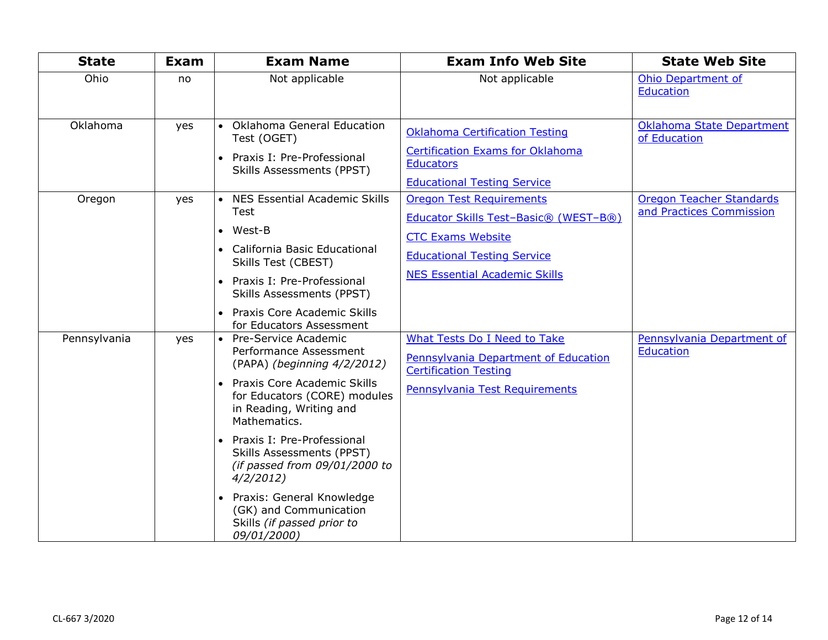| <b>State</b> | Exam | <b>Exam Name</b>                                                                                                                                                                                                                                                                                                                                                                                                     | <b>Exam Info Web Site</b>                                                                                                                                                          | <b>State Web Site</b>                                       |
|--------------|------|----------------------------------------------------------------------------------------------------------------------------------------------------------------------------------------------------------------------------------------------------------------------------------------------------------------------------------------------------------------------------------------------------------------------|------------------------------------------------------------------------------------------------------------------------------------------------------------------------------------|-------------------------------------------------------------|
| Ohio         | no   | Not applicable                                                                                                                                                                                                                                                                                                                                                                                                       | Not applicable                                                                                                                                                                     | <b>Ohio Department of</b><br>Education                      |
| Oklahoma     | yes  | • Oklahoma General Education<br>Test (OGET)<br>• Praxis I: Pre-Professional<br>Skills Assessments (PPST)                                                                                                                                                                                                                                                                                                             | <b>Oklahoma Certification Testing</b><br><b>Certification Exams for Oklahoma</b><br><b>Educators</b><br><b>Educational Testing Service</b>                                         | <b>Oklahoma State Department</b><br>of Education            |
| Oregon       | yes  | • NES Essential Academic Skills<br>Test<br>$\bullet$ West-B<br>• California Basic Educational<br>Skills Test (CBEST)<br>• Praxis I: Pre-Professional<br>Skills Assessments (PPST)<br>• Praxis Core Academic Skills<br>for Educators Assessment                                                                                                                                                                       | <b>Oregon Test Requirements</b><br>Educator Skills Test-Basic® (WEST-B®)<br><b>CTC Exams Website</b><br><b>Educational Testing Service</b><br><b>NES Essential Academic Skills</b> | <b>Oregon Teacher Standards</b><br>and Practices Commission |
| Pennsylvania | yes  | • Pre-Service Academic<br>Performance Assessment<br>(PAPA) (beginning 4/2/2012)<br>• Praxis Core Academic Skills<br>for Educators (CORE) modules<br>in Reading, Writing and<br>Mathematics.<br>• Praxis I: Pre-Professional<br><b>Skills Assessments (PPST)</b><br>(if passed from $09/01/2000$ to<br>4/2/2012<br>• Praxis: General Knowledge<br>(GK) and Communication<br>Skills (if passed prior to<br>09/01/2000) | <b>What Tests Do I Need to Take</b><br>Pennsylvania Department of Education<br><b>Certification Testing</b><br>Pennsylvania Test Requirements                                      | Pennsylvania Department of<br>Education                     |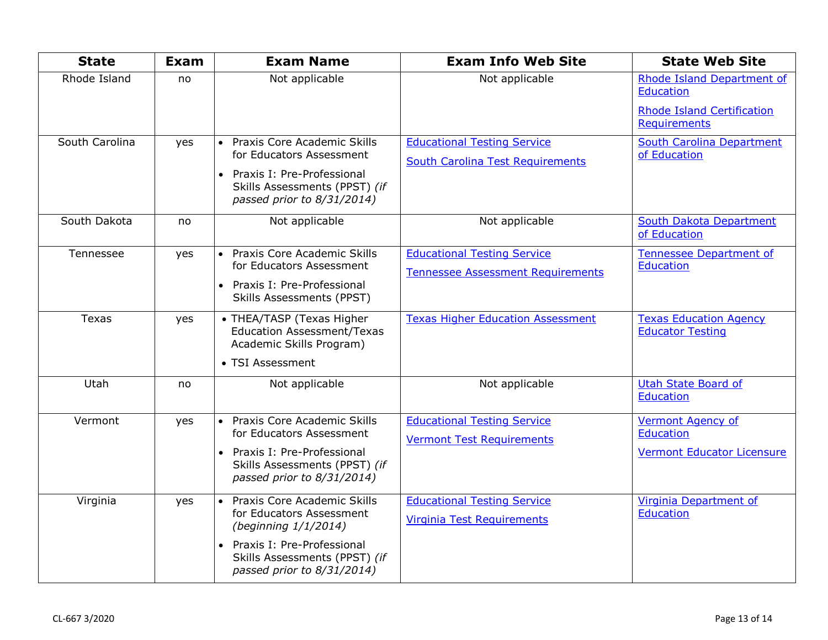| <b>State</b>   | Exam | <b>Exam Name</b>                                                                                                                                                                            | <b>Exam Info Web Site</b>                                                      | <b>State Web Site</b>                                                                                      |
|----------------|------|---------------------------------------------------------------------------------------------------------------------------------------------------------------------------------------------|--------------------------------------------------------------------------------|------------------------------------------------------------------------------------------------------------|
| Rhode Island   | no   | Not applicable                                                                                                                                                                              | Not applicable                                                                 | Rhode Island Department of<br><b>Education</b><br><b>Rhode Island Certification</b><br><b>Requirements</b> |
| South Carolina | yes  | Praxis Core Academic Skills<br>$\bullet$<br>for Educators Assessment<br>• Praxis I: Pre-Professional<br>Skills Assessments (PPST) (if<br>passed prior to 8/31/2014)                         | <b>Educational Testing Service</b><br><b>South Carolina Test Requirements</b>  | <b>South Carolina Department</b><br>of Education                                                           |
| South Dakota   | no   | Not applicable                                                                                                                                                                              | Not applicable                                                                 | South Dakota Department<br>of Education                                                                    |
| Tennessee      | yes  | • Praxis Core Academic Skills<br>for Educators Assessment<br>• Praxis I: Pre-Professional<br><b>Skills Assessments (PPST)</b>                                                               | <b>Educational Testing Service</b><br><b>Tennessee Assessment Requirements</b> | <b>Tennessee Department of</b><br>Education                                                                |
| <b>Texas</b>   | yes  | • THEA/TASP (Texas Higher<br><b>Education Assessment/Texas</b><br>Academic Skills Program)<br>• TSI Assessment                                                                              | <b>Texas Higher Education Assessment</b>                                       | <b>Texas Education Agency</b><br><b>Educator Testing</b>                                                   |
| Utah           | no   | Not applicable                                                                                                                                                                              | Not applicable                                                                 | <b>Utah State Board of</b><br><b>Education</b>                                                             |
| Vermont        | yes  | • Praxis Core Academic Skills<br>for Educators Assessment<br>• Praxis I: Pre-Professional<br>Skills Assessments (PPST) (if<br>passed prior to 8/31/2014)                                    | <b>Educational Testing Service</b><br><b>Vermont Test Requirements</b>         | <b>Vermont Agency of</b><br><b>Education</b><br><b>Vermont Educator Licensure</b>                          |
| Virginia       | yes  | • Praxis Core Academic Skills<br>for Educators Assessment<br>(beginning 1/1/2014)<br>Praxis I: Pre-Professional<br>$\bullet$<br>Skills Assessments (PPST) (if<br>passed prior to 8/31/2014) | <b>Educational Testing Service</b><br>Virginia Test Requirements               | Virginia Department of<br><b>Education</b>                                                                 |